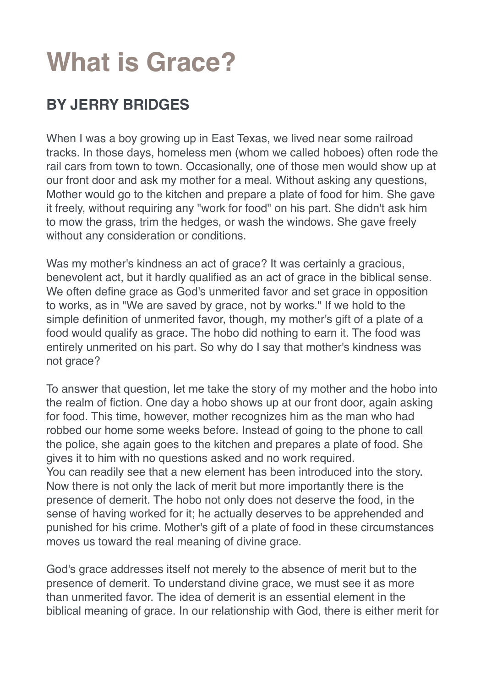# **What is Grace?**

## **BY JERRY BRIDGES**

When I was a boy growing up in East Texas, we lived near some railroad tracks. In those days, homeless men (whom we called hoboes) often rode the rail cars from town to town. Occasionally, one of those men would show up at our front door and ask my mother for a meal. Without asking any questions, Mother would go to the kitchen and prepare a plate of food for him. She gave it freely, without requiring any "work for food" on his part. She didn't ask him to mow the grass, trim the hedges, or wash the windows. She gave freely without any consideration or conditions.

Was my mother's kindness an act of grace? It was certainly a gracious, benevolent act, but it hardly qualified as an act of grace in the biblical sense. We often define grace as God's unmerited favor and set grace in opposition to works, as in "We are saved by grace, not by works." If we hold to the simple definition of unmerited favor, though, my mother's gift of a plate of a food would qualify as grace. The hobo did nothing to earn it. The food was entirely unmerited on his part. So why do I say that mother's kindness was not grace?

To answer that question, let me take the story of my mother and the hobo into the realm of fiction. One day a hobo shows up at our front door, again asking for food. This time, however, mother recognizes him as the man who had robbed our home some weeks before. Instead of going to the phone to call the police, she again goes to the kitchen and prepares a plate of food. She gives it to him with no questions asked and no work required. You can readily see that a new element has been introduced into the story. Now there is not only the lack of merit but more importantly there is the presence of demerit. The hobo not only does not deserve the food, in the sense of having worked for it; he actually deserves to be apprehended and punished for his crime. Mother's gift of a plate of food in these circumstances moves us toward the real meaning of divine grace.

God's grace addresses itself not merely to the absence of merit but to the presence of demerit. To understand divine grace, we must see it as more than unmerited favor. The idea of demerit is an essential element in the biblical meaning of grace. In our relationship with God, there is either merit for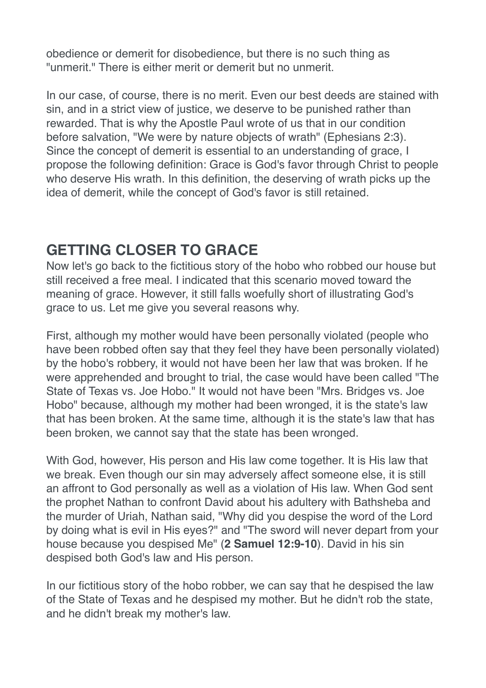obedience or demerit for disobedience, but there is no such thing as "unmerit." There is either merit or demerit but no unmerit.

In our case, of course, there is no merit. Even our best deeds are stained with sin, and in a strict view of justice, we deserve to be punished rather than rewarded. That is why the Apostle Paul wrote of us that in our condition before salvation, "We were by nature objects of wrath" (Ephesians 2:3). Since the concept of demerit is essential to an understanding of grace, I propose the following definition: Grace is God's favor through Christ to people who deserve His wrath. In this definition, the deserving of wrath picks up the idea of demerit, while the concept of God's favor is still retained.

#### **GETTING CLOSER TO GRACE**

Now let's go back to the fictitious story of the hobo who robbed our house but still received a free meal. I indicated that this scenario moved toward the meaning of grace. However, it still falls woefully short of illustrating God's grace to us. Let me give you several reasons why.

First, although my mother would have been personally violated (people who have been robbed often say that they feel they have been personally violated) by the hobo's robbery, it would not have been her law that was broken. If he were apprehended and brought to trial, the case would have been called "The State of Texas vs. Joe Hobo." It would not have been "Mrs. Bridges vs. Joe Hobo" because, although my mother had been wronged, it is the state's law that has been broken. At the same time, although it is the state's law that has been broken, we cannot say that the state has been wronged.

With God, however, His person and His law come together. It is His law that we break. Even though our sin may adversely affect someone else, it is still an affront to God personally as well as a violation of His law. When God sent the prophet Nathan to confront David about his adultery with Bathsheba and the murder of Uriah, Nathan said, "Why did you despise the word of the Lord by doing what is evil in His eyes?" and "The sword will never depart from your house because you despised Me" (**2 Samuel 12:9-10**). David in his sin despised both God's law and His person.

In our fictitious story of the hobo robber, we can say that he despised the law of the State of Texas and he despised my mother. But he didn't rob the state, and he didn't break my mother's law.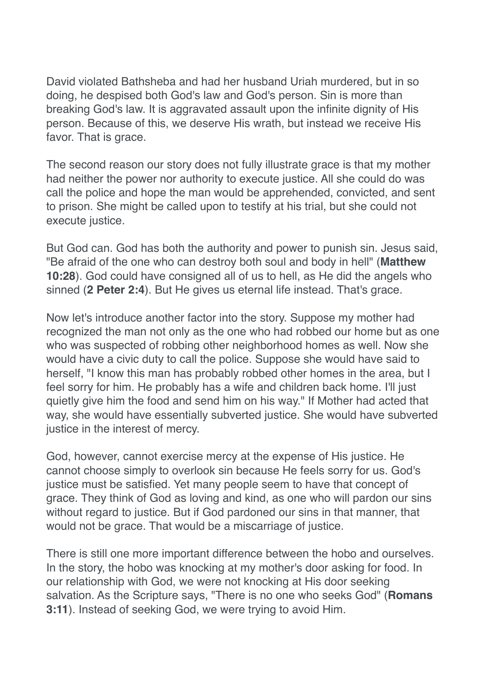David violated Bathsheba and had her husband Uriah murdered, but in so doing, he despised both God's law and God's person. Sin is more than breaking God's law. It is aggravated assault upon the infinite dignity of His person. Because of this, we deserve His wrath, but instead we receive His favor. That is grace.

The second reason our story does not fully illustrate grace is that my mother had neither the power nor authority to execute justice. All she could do was call the police and hope the man would be apprehended, convicted, and sent to prison. She might be called upon to testify at his trial, but she could not execute justice.

But God can. God has both the authority and power to punish sin. Jesus said, "Be afraid of the one who can destroy both soul and body in hell" (**Matthew 10:28**). God could have consigned all of us to hell, as He did the angels who sinned (**2 Peter 2:4**). But He gives us eternal life instead. That's grace.

Now let's introduce another factor into the story. Suppose my mother had recognized the man not only as the one who had robbed our home but as one who was suspected of robbing other neighborhood homes as well. Now she would have a civic duty to call the police. Suppose she would have said to herself, "I know this man has probably robbed other homes in the area, but I feel sorry for him. He probably has a wife and children back home. I'll just quietly give him the food and send him on his way." If Mother had acted that way, she would have essentially subverted justice. She would have subverted justice in the interest of mercy.

God, however, cannot exercise mercy at the expense of His justice. He cannot choose simply to overlook sin because He feels sorry for us. God's justice must be satisfied. Yet many people seem to have that concept of grace. They think of God as loving and kind, as one who will pardon our sins without regard to justice. But if God pardoned our sins in that manner, that would not be grace. That would be a miscarriage of justice.

There is still one more important difference between the hobo and ourselves. In the story, the hobo was knocking at my mother's door asking for food. In our relationship with God, we were not knocking at His door seeking salvation. As the Scripture says, "There is no one who seeks God" (**Romans 3:11**). Instead of seeking God, we were trying to avoid Him.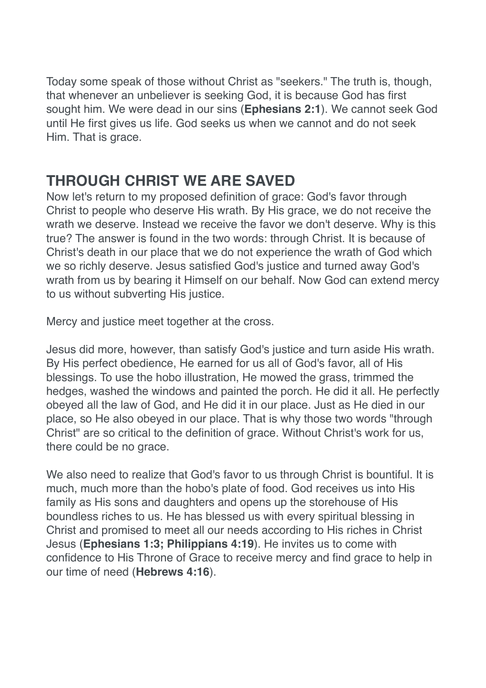Today some speak of those without Christ as "seekers." The truth is, though, that whenever an unbeliever is seeking God, it is because God has first sought him. We were dead in our sins (**Ephesians 2:1**). We cannot seek God until He first gives us life. God seeks us when we cannot and do not seek Him. That is grace.

### **THROUGH CHRIST WE ARE SAVED**

Now let's return to my proposed definition of grace: God's favor through Christ to people who deserve His wrath. By His grace, we do not receive the wrath we deserve. Instead we receive the favor we don't deserve. Why is this true? The answer is found in the two words: through Christ. It is because of Christ's death in our place that we do not experience the wrath of God which we so richly deserve. Jesus satisfied God's justice and turned away God's wrath from us by bearing it Himself on our behalf. Now God can extend mercy to us without subverting His justice.

Mercy and justice meet together at the cross.

Jesus did more, however, than satisfy God's justice and turn aside His wrath. By His perfect obedience, He earned for us all of God's favor, all of His blessings. To use the hobo illustration, He mowed the grass, trimmed the hedges, washed the windows and painted the porch. He did it all. He perfectly obeyed all the law of God, and He did it in our place. Just as He died in our place, so He also obeyed in our place. That is why those two words "through Christ" are so critical to the definition of grace. Without Christ's work for us, there could be no grace.

We also need to realize that God's favor to us through Christ is bountiful. It is much, much more than the hobo's plate of food. God receives us into His family as His sons and daughters and opens up the storehouse of His boundless riches to us. He has blessed us with every spiritual blessing in Christ and promised to meet all our needs according to His riches in Christ Jesus (**Ephesians 1:3; Philippians 4:19**). He invites us to come with confidence to His Throne of Grace to receive mercy and find grace to help in our time of need (**Hebrews 4:16**).